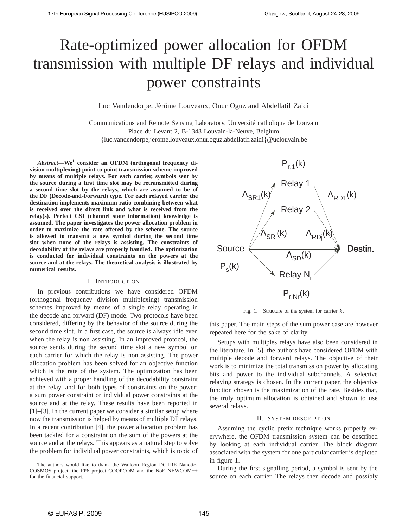# Rate-optimized power allocation for OFDM transmission with multiple DF relays and individual power constraints

Luc Vandendorpe, Jérôme Louveaux, Onur Oguz and Abdellatif Zaidi

Communications and Remote Sensing Laboratory, Université catholique de Louvain Place du Levant 2, B-1348 Louvain-la-Neuve, Belgium {luc.vandendorpe,jerome.louveaux,onur.oguz,abdellatif.zaidi}@uclouvain.be

*Abstract***—We**<sup>1</sup> **consider an OFDM (orthogonal frequency division multiplexing) point to point transmission scheme improved by means of multiple relays. For each carrier, symbols sent by the source during a first time slot may be retransmitted during a second time slot by the relays, which are assumed to be of the DF (Decode-and-Forward) type. For each relayed carrier the destination implements maximum ratio combining between what is received over the direct link and what is received from the relay(s). Perfect CSI (channel state information) knowledge is assumed. The paper investigates the power allocation problem in order to maximize the rate offered by the scheme. The source is allowed to transmit a new symbol during the second time slot when none of the relays is assisting. The constraints of decodability at the relays are properly handled. The optimization is conducted for individual constraints on the powers at the source and at the relays. The theoretical analysis is illustrated by numerical results.**

### I. INTRODUCTION

In previous contributions we have considered OFDM (orthogonal frequency division multiplexing) transmission schemes improved by means of a single relay operating in the decode and forward (DF) mode. Two protocols have been considered, differing by the behavior of the source during the second time slot. In a first case, the source is always idle even when the relay is non assisting. In an improved protocol, the source sends during the second time slot a new symbol on each carrier for which the relay is non assisting. The power allocation problem has been solved for an objective function which is the rate of the system. The optimization has been achieved with a proper handling of the decodability constraint at the relay, and for both types of constraints on the power: a sum power constraint or individual power constraints at the source and at the relay. These results have been reported in [1]–[3]. In the current paper we consider a similar setup where now the transmission is helped by means of multiple DF relays. In a recent contribution [4], the power allocation problem has been tackled for a constraint on the sum of the powers at the source and at the relays. This appears as a natural step to solve the problem for individual power constraints, which is topic of



Fig. 1. Structure of the system for carrier  $k$ .

this paper. The main steps of the sum power case are however repeated here for the sake of clarity.

Setups with multiples relays have also been considered in the literature. In [5], the authors have considered OFDM with multiple decode and forward relays. The objective of their work is to minimize the total transmission power by allocating bits and power to the individual subchannels. A selective relaying strategy is chosen. In the current paper, the objective function chosen is the maximization of the rate. Besides that, the truly optimum allocation is obtained and shown to use several relays.

#### II. SYSTEM DESCRIPTION

Assuming the cyclic prefix technique works properly everywhere, the OFDM transmission system can be described by looking at each individual carrier. The block diagram associated with the system for one particular carrier is depicted in figure 1.

During the first signalling period, a symbol is sent by the source on each carrier. The relays then decode and possibly

<sup>&</sup>lt;sup>1</sup>The authors would like to thank the Walloon Region DGTRE Nanotic-COSMOS project, the FP6 project COOPCOM and the NoE NEWCOM++ for the financial support.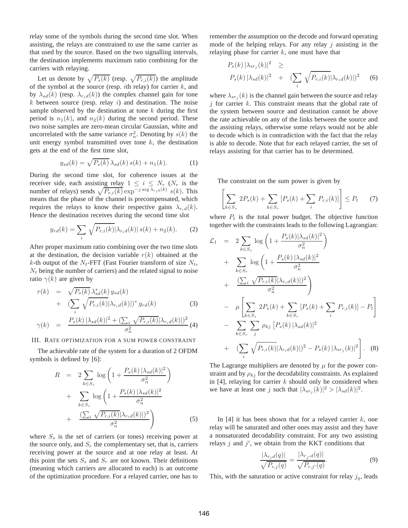relay some of the symbols during the second time slot. When assisting, the relays are constrained to use the same carrier as that used by the source. Based on the two signalling intervals, the destination implements maximum ratio combining for the carriers with relaying.

Let us denote by  $\sqrt{P_s(k)}$  (resp.  $\sqrt{P_{r,i}(k)}$ ) the amplitude of the symbol at the source (resp. *i*th relay) for carrier  $k$ , and by  $\lambda_{sd}(k)$  (resp.  $\lambda_{rid}(k)$ ) the complex channel gain for tone  $k$  between source (resp. relay  $i$ ) and destination. The noise sample observed by the destination at tone  $k$  during the first period is  $n_1(k)$ , and  $n_2(k)$  during the second period. These two noise samples are zero-mean circular Gaussian, white and uncorrelated with the same variance  $\sigma_n^2$ . Denoting by  $s(k)$  the unit energy symbol transmitted over tone  $k$ , the destination gets at the end of the first time slot,

$$
y_{sd}(k) = \sqrt{P_s(k)} \,\lambda_{sd}(k) \, s(k) + n_1(k). \tag{1}
$$

During the second time slot, for coherence issues at the receiver side, each assisting relay  $1 \leq i \leq N_r$  ( $N_r$  is the number of relays) sends  $\sqrt{P_{r,i}(k)}$  exp<sup>-j arg  $\lambda_{r_i}$ <sub>d</sub>(k)  $s(k)$ . This</sup> means that the phase of the channel is precompensated, which requires the relays to know their respective gains  $\lambda_{r,d}(k)$ . Hence the destination receives during the second time slot

$$
y_{rd}(k) = \sum_{i} \sqrt{P_{r,i}(k)} |\lambda_{r,i}(k)| s(k) + n_2(k). \tag{2}
$$

After proper maximum ratio combining over the two time slots at the destination, the decision variable  $r(k)$  obtained at the k-th output of the  $N_t$ -FFT (Fast Fourier transform of size  $N_t$ ,  $N_t$  being the number of carriers) and the related signal to noise ratio  $\gamma(k)$  are given by

$$
r(k) = \sqrt{P_s(k)} \lambda_{sd}^*(k) y_{sd}(k)
$$
  
+ 
$$
(\sum_i \sqrt{P_{r,i}(k)} |\lambda_{r_i d}(k)|)^* y_{rd}(k)
$$
 (3)

$$
\gamma(k) = \frac{P_s(k) |\lambda_{sd}(k)|^2 + (\sum_i \sqrt{P_{r,i}(k)} |\lambda_{r_id}(k)|)^2}{\sigma_n^2} (4)
$$

#### III. RATE OPTIMIZATION FOR A SUM POWER CONSTRAINT

The achievable rate of the system for a duration of 2 OFDM symbols is defined by [6]:

$$
R = 2 \sum_{k \in S_s} \log \left( 1 + \frac{P_s(k) |\lambda_{sd}(k)|^2}{\sigma_n^2} \right)
$$
  
+ 
$$
\sum_{k \in S_r} \log \left( 1 + \frac{P_s(k) |\lambda_{sd}(k)|^2}{\sigma_n^2} \right)
$$
  
+ 
$$
\frac{\left( \sum_i \sqrt{P_{r,i}(k)} |\lambda_{r_i d}(k)| \right)^2}{\sigma_n^2}
$$
(5)

where  $S<sub>s</sub>$  is the set of carriers (or tones) receiving power at the source only, and  $S_r$  the complementary set, that is, carriers receiving power at the source and at one relay at least. At this point the sets  $S_s$  and  $S_r$  are not known. Their definitions (meaning which carriers are allocated to each) is an outcome of the optimization procedure. For a relayed carrier, one has to remember the assumption on the decode and forward operating mode of the helping relays. For any relay  $j$  assisting in the relaying phase for carrier  $k$ , one must have that

$$
P_s(k) |\lambda_{sr_j}(k)|^2 \ge
$$
  
\n
$$
P_s(k) |\lambda_{sd}(k)|^2 + (\sum_i \sqrt{P_{r,i}(k)} |\lambda_{r_i d}(k)|)^2
$$
 (6)

where  $\lambda_{sr_j}(k)$  is the channel gain between the source and relay j for carrier  $k$ . This constraint means that the global rate of the system between source and destination cannot be above the rate achievable on any of the links between the source and the assisting relays, otherwise some relays would not be able to decode which is in contradiction with the fact that the relay is able to decode. Note that for each relayed carrier, the set of relays assisting for that carrier has to be determined.

The constraint on the sum power is given by

$$
\left[\sum_{k \in S_s} 2P_s(k) + \sum_{k \in S_r} [P_s(k) + \sum_i P_{r,i}(k)]\right] \le P_t \qquad (7)
$$

where  $P_t$  is the total power budget. The objective function together with the constraints leads to the following Lagrangian:

$$
\mathcal{L}_{1} = 2 \sum_{k \in S_{s}} \log \left( 1 + \frac{P_{s}(k)|\lambda_{sd}(k)|^{2}}{\sigma_{n}^{2}} \right) \n+ \sum_{k \in S_{r}} \log \left( 1 + \frac{P_{s}(k)|\lambda_{sd}(k)|^{2}}{\sigma_{n}^{2}} \right) \n+ \frac{\left( \sum_{i} \sqrt{P_{r,i}(k)} |\lambda_{r,i}(k)| \right)^{2}}{\sigma_{n}^{2}} \right) \n- \mu \left[ \sum_{k \in S_{s}} 2P_{s}(k) + \sum_{k \in S_{r}} [P_{s}(k) + \sum_{i} P_{r,i}(k)] - P_{t} \right] \n- \sum_{k \in S_{r}} \sum_{j} \rho_{kj} [P_{s}(k)|\lambda_{sd}(k)|^{2} \n+ \left( \sum_{i} \sqrt{P_{r,i}(k)} |\lambda_{r,i}(k)| \right)^{2} - P_{s}(k) |\lambda_{sr_{j}}(k)|^{2} \right]. \quad (8)
$$

The Lagrange multipliers are denoted by  $\mu$  for the power constraint and by  $\rho_{kj}$  for the decodability constraints. As explained in  $[4]$ , relaying for carrier k should only be considered when we have at least one j such that  $|\lambda_{sr_j}(k)|^2 > |\lambda_{sd}(k)|^2$ .

In  $[4]$  it has been shown that for a relayed carrier k, one relay will be saturated and other ones may assist and they have a nonsaturated decodability constraint. For any two assisting relays  $j$  and  $j'$ , we obtain from the KKT conditions that

$$
\frac{|\lambda_{r_jd}(q)|}{\sqrt{P_{r,j}(q)}} = \frac{|\lambda_{r_{j'}d}(q)|}{\sqrt{P_{r,j'}(q)}}.
$$
\n(9)

This, with the saturation or active constraint for relay  $j_q$ , leads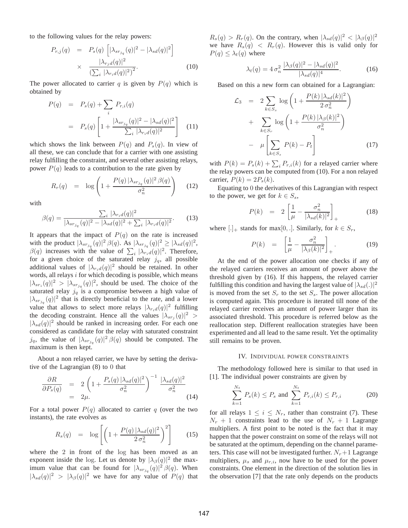to the following values for the relay powers:

$$
P_{r,j}(q) = P_s(q) \left[ |\lambda_{sr_{j_q}}(q)|^2 - |\lambda_{sd}(q)|^2 \right]
$$

$$
\times \frac{|\lambda_{r_jd}(q)|^2}{\left(\sum_i |\lambda_{r_id}(q)|^2\right)^2}.
$$
(10)

The power allocated to carrier q is given by  $P(q)$  which is obtained by

$$
P(q) = P_s(q) + \sum_{i} P_{r,i}(q)
$$
  
=  $P_s(q) \left[ 1 + \frac{|\lambda_{sr_{jq}}(q)|^2 - |\lambda_{sd}(q)|^2}{\sum_{i} |\lambda_{r_i d}(q)|^2} \right]$  (11)

which shows the link between  $P(q)$  and  $P_s(q)$ . In view of all these, we can conclude that for a carrier with one assisting relay fulfilling the constraint, and several other assisting relays, power  $P(q)$  leads to a contribution to the rate given by

$$
R_r(q) = \log \left( 1 + \frac{P(q) \left| \lambda_{sr_{j_q}}(q) \right|^2 \beta(q)}{\sigma_n^2} \right) \tag{12}
$$

with

$$
\beta(q) = \frac{\sum_{i} |\lambda_{r_i} d(q)|^2}{|\lambda_{sr_{j_q}}(q)|^2 - |\lambda_{sd}(q)|^2 + \sum_{i} |\lambda_{r_i} d(q)|^2}.
$$
 (13)

It appears that the impact of  $P(q)$  on the rate is increased with the product  $|\lambda_{sr_{j_q}}(q)|^2 \beta(q)$ . As  $|\lambda_{sr_{j_q}}(q)|^2 \geq |\lambda_{sd}(q)|^2$ ,  $\beta(q)$  increases with the value of  $\sum_i |\lambda_{rad}(q)|^2$ . Therefore, for a given choice of the saturated relay  $j_q$ , all possible additional values of  $|\lambda_{r_i d}(q)|^2$  should be retained. In other words, all relays  $i$  for which decoding is possible, which means  $|\lambda_{sr_i}(q)|^2 > |\lambda_{sr_{j_q}}(q)|^2$ , should be used. The choice of the saturated relay  $j_q$  is a compromise between a high value of  $|\lambda_{sr_{j_q}}(q)|^2$  that is directly beneficial to the rate, and a lower value that allows to select more relays  $|\lambda_{r_i d}(q)|^2$  fulfilling the decoding constraint. Hence all the values  $|\lambda_{sr_j}(q)|^2 >$  $|\lambda_{sd}(q)|^2$  should be ranked in increasing order. For each one considered as candidate for the relay with saturated constraint  $j_q$ , the value of  $|\lambda_{sr_{j_q}}(q)|^2 \beta(q)$  should be computed. The maximum is then kept.

About a non relayed carrier, we have by setting the derivative of the Lagrangian (8) to 0 that

$$
\frac{\partial R}{\partial P_s(q)} = 2\left(1 + \frac{P_s(q)\left|\lambda_{sd}(q)\right|^2}{\sigma_n^2}\right)^{-1} \frac{\left|\lambda_{sd}(q)\right|^2}{\sigma_n^2}
$$
\n
$$
= 2\mu.
$$
\n(14)

For a total power  $P(q)$  allocated to carrier q (over the two instants), the rate evolves as

$$
R_s(q) = \log \left[ \left( 1 + \frac{P(q) \left| \lambda_{sd}(q) \right|^2}{2 \sigma_n^2} \right)^2 \right] \tag{15}
$$

where the 2 in front of the log has been moved as an exponent inside the log. Let us denote by  $|\lambda_{\beta}(q)|^2$  the maximum value that can be found for  $|\lambda_{sr_{j_q}}(q)|^2 \beta(q)$ . When  $|\lambda_{sd}(q)|^2 > |\lambda_{\beta}(q)|^2$  we have for any value of  $P(q)$  that

 $R_s(q) > R_r(q)$ . On the contrary, when  $|\lambda_{sd}(q)|^2 < |\lambda_{\beta}(q)|^2$ we have  $R_s(q) < R_r(q)$ . However this is valid only for  $P(q) \leq \lambda_t(q)$  where

$$
\lambda_t(q) = 4 \sigma_n^2 \frac{|\lambda_\beta(q)|^2 - |\lambda_{sd}(q)|^2}{|\lambda_{sd}(q)|^4}.
$$
 (16)

Based on this a new form can obtained for a Lagrangian:

$$
\mathcal{L}_3 = 2 \sum_{k \in S_s} \log \left( 1 + \frac{P(k) |\lambda_{sd}(k)|^2}{2 \sigma_n^2} \right)
$$
  
+ 
$$
\sum_{k \in S_r} \log \left( 1 + \frac{P(k) |\lambda_{\beta}(k)|^2}{\sigma_n^2} \right)
$$
  
- 
$$
\mu \left[ \sum_{k \in S_s} P(k) - P_t \right]
$$
(17)

with  $P(k) = P_s(k) + \sum_i P_{r,i}(k)$  for a relayed carrier where the relay powers can be computed from (10). For a non relayed carrier,  $P(k) = 2P_s(k)$ .

Equating to 0 the derivatives of this Lagrangian with respect to the power, we get for  $k \in S_s$ ,

$$
P(k) = 2\left[\frac{1}{\mu} - \frac{\sigma_n^2}{|\lambda_{sd}(k)|^2}\right]_+ \tag{18}
$$

where  $[.]_+$  stands for max $[0,.]$ . Similarly, for  $k \in S_r$ ,

$$
P(k) = \left[\frac{1}{\mu} - \frac{\sigma_n^2}{|\lambda_{\beta}(k)|^2}\right]_+.
$$
 (19)

At the end of the power allocation one checks if any of the relayed carriers receives an amount of power above the threshold given by (16). If this happens, the relayed carrier fulfilling this condition and having the largest value of  $|\lambda_{sd}(.)|^2$ is moved from the set  $S_r$  to the set  $S_s$ . The power allocation is computed again. This procedure is iterated till none of the relayed carrier receives an amount of power larger than its associated threshold. This procedure is referred below as the reallocation step. Different reallocation strategies have been experimented and all lead to the same result. Yet the optimality still remains to be proven.

#### IV. INDIVIDUAL POWER CONSTRAINTS

The methodology followed here is similar to that used in [1]. The individual power constraints are given by

$$
\sum_{k=1}^{N_t} P_s(k) \le P_s \text{ and } \sum_{k=1}^{N_t} P_{r,i}(k) \le P_{r,i} \tag{20}
$$

for all relays  $1 \leq i \leq N_r$ , rather than constraint (7). These  $N_r + 1$  constraints lead to the use of  $N_r + 1$  Lagrange multipliers. A first point to be noted is the fact that it may happen that the power constraint on some of the relays will not be saturated at the optimum, depending on the channel parameters. This case will not be investigated further.  $N_r+1$  Lagrange multipliers,  $\mu_s$  and  $\mu_{r,i}$ , now have to be used for the power constraints. One element in the direction of the solution lies in the observation [7] that the rate only depends on the products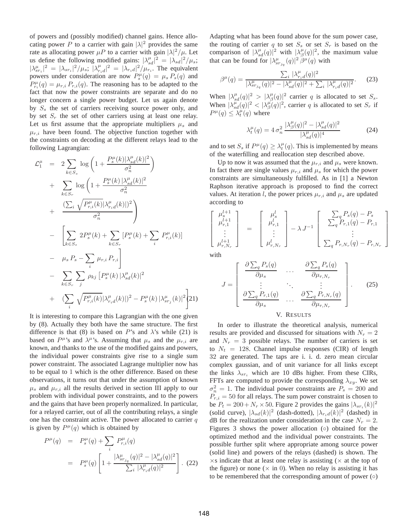of powers and (possibly modified) channel gains. Hence allocating power P to a carrier with gain  $|\lambda|^2$  provides the same rate as allocating power  $\mu P$  to a carrier with gain  $|\lambda|^2/\mu$ . Let us define the following modified gains:  $|\lambda_{sd}^{\mu}|^2 = |\lambda_{sd}|^2/\mu_s$ ;  $|\lambda_{sr_i}^{\mu}|^2 = |\lambda_{sr_i}|^2/\mu_s$ ;  $|\lambda_{r_id}^{\mu}|^2 = |\lambda_{r_id}|^2/\mu_{r_i}$ . The equivalent powers under consideration are now  $P_s^{\mu}(q) = \mu_s P_s(q)$  and  $P_{r_i}^{\mu}(q) = \mu_{r,i} P_{r,i}(q)$ . The reasoning has to be adapted to the fact that now the power constraints are separate and do no longer concern a single power budget. Let us again denote by  $S<sub>s</sub>$  the set of carriers receiving source power only, and by set  $S_r$  the set of other carriers using at least one relay. Let us first assume that the appropriate multipliers  $\mu_s$  and  $\mu_{r,i}$  have been found. The objective function together with the constraints on decoding at the different relays lead to the following Lagrangian:

$$
\mathcal{L}_{1}^{\mu} = 2 \sum_{k \in S_{s}} \log \left( 1 + \frac{P_{s}^{\mu}(k)|\lambda_{sd}^{\mu}(k)|^{2}}{\sigma_{n}^{2}} \right) \n+ \sum_{k \in S_{r}} \log \left( 1 + \frac{P_{s}^{\mu}(k)|\lambda_{sd}^{\mu}(k)|^{2}}{\sigma_{n}^{2}} \right) \n+ \frac{\left( \sum_{i} \sqrt{P_{r,i}^{\mu}(k)} |\lambda_{r,d}^{\mu}(k)| \right)^{2}}{\sigma_{n}^{2}} \right) \n- \left[ \sum_{k \in S_{s}} 2P_{s}^{\mu}(k) + \sum_{k \in S_{r}} [P_{s}^{\mu}(k) + \sum_{i} P_{r,i}^{\mu}(k)] \right] \n- \mu_{s} P_{s} - \sum_{i} \mu_{r,i} P_{r,i} \right] \n- \sum_{k \in S_{r}} \sum_{j} \rho_{kj} [P_{s}^{\mu}(k)|\lambda_{sd}^{\mu}(k)|^{2} \n+ \left( \sum_{i} \sqrt{P_{r,i}^{\mu}(k)} |\lambda_{r,d}^{\mu}(k)| \right)^{2} - P_{s}^{\mu}(k) |\lambda_{sr_{j}}^{\mu}(k)|^{2} \right)
$$

It is interesting to compare this Lagrangian with the one given by (8). Actually they both have the same structure. The first difference is that (8) is based on P's and  $\lambda$ 's while (21) is based on  $P^{\mu}$ 's and  $\lambda^{\mu}$ 's. Assuming that  $\mu_s$  and the  $\mu_{r,i}$  are known, and thanks to the use of the modified gains and powers, the individual power constraints give rise to a single sum power constraint. The associated Lagrange multiplier now has to be equal to 1 which is the other difference. Based on these observations, it turns out that under the assumption of known  $\mu_s$  and  $\mu_{r,i}$  all the results derived in section III apply to our problem with individual power constraints, and to the powers and the gains that have been properly normalized. In particular, for a relayed carrier, out of all the contributing relays, a single one has the constraint active. The power allocated to carrier  $q$ is given by  $P^{\mu}(q)$  which is obtained by

$$
P^{\mu}(q) = P_s^{\mu}(q) + \sum_i P_{r,i}^{\mu}(q)
$$
  
=  $P_s^{\mu}(q) \left[ 1 + \frac{|\lambda_{sr_{j_q}}^{\mu}(q)|^2 - |\lambda_{sd}^{\mu}(q)|^2}{\sum_i |\lambda_{r_i}^{\mu}(q)|^2} \right].$  (22)

Adapting what has been found above for the sum power case, the routing of carrier q to set  $S<sub>s</sub>$  or set  $S<sub>r</sub>$  is based on the comparison of  $|\lambda_{sd}^{\mu}(q)|^2$  with  $|\lambda_{\beta}^{\mu}(q)|^2$ , the maximum value that can be found for  $|\lambda_{sr_{j_q}}^{\mu}(q)|^2 \beta^{\mu}(q)$  with

$$
\beta^{\mu}(q) = \frac{\sum_{i} |\lambda^{\mu}_{r_i d}(q)|^2}{|\lambda^{\mu}_{sr_{j_q}}(q)|^2 - |\lambda^{\mu}_{sd}(q)|^2 + \sum_{i} |\lambda^{\mu}_{r_i d}(q)|^2}.
$$
 (23)

When  $|\lambda_{sd}^{\mu}(q)|^2 > |\lambda_{\beta}^{\mu}(q)|^2$  carrier q is allocated to set  $S_s$ . When  $|\lambda_{sd}^B(q)| \geq |\lambda_{\beta}^B(q)|^2$ , carrier q is allocated to set  $S_r$  if When  $|\lambda_{sd}^B(q)|^2 < |\lambda_{\beta}^B(q)|^2$ , carrier q is allocated to set  $S_r$  if  $P^{\mu}(q) \leq \lambda_t^{\mu}(q)$  where

$$
\lambda_t^{\mu}(q) = 4 \sigma_n^2 \frac{|\lambda_{\beta}^{\mu}(q)|^2 - |\lambda_{sd}^{\mu}(q)|^2}{|\lambda_{sd}^{\mu}(q)|^4}
$$
 (24)

and to set  $S_s$  if  $P^{\mu}(q) \geq \lambda_t^{\mu}(q)$ . This is implemented by means of the waterfilling and reallocation step described above.

Up to now it was assumed that the  $\mu_{r,i}$  and  $\mu_s$  were known. In fact there are single values  $\mu_{r,i}$  and  $\mu_s$  for which the power constraints are simultaneously fulfilled. As in [1] a Newton Raphson iterative approach is proposed to find the correct values. At iteration l, the power prices  $\mu_{r,i}$  and  $\mu_s$  are updated according to

$$
\begin{bmatrix}\n\mu_{s+1}^{l+1} \\
\mu_{r,1}^{l+1} \\
\vdots \\
\mu_{r,N_r}^{l+1}\n\end{bmatrix} = \begin{bmatrix}\n\mu_s^l \\
\mu_{r,1}^l \\
\vdots \\
\mu_{r,N_r}^l\n\end{bmatrix} - \lambda J^{-1} \begin{bmatrix}\n\sum_q P_s(q) - P_s \\
\sum_q P_{r,1}(q) - P_{r,1} \\
\vdots \\
\sum_q P_{r,N_r}(q) - P_{r,N_r}\n\end{bmatrix}
$$

with

.)

$$
J = \begin{bmatrix} \frac{\partial \sum_{q} P_s(q)}{\partial \mu_s} & \cdots & \frac{\partial \sum_{q} P_s(q)}{\partial \mu_{r,N_r}} \\ \vdots & \ddots & \vdots \\ \frac{\partial \sum_{q} P_{r,1}(q)}{\partial \mu_s} & \cdots & \frac{\partial \sum_{q} P_{r,N_r}(q)}{\partial \mu_{r,N_r}} \end{bmatrix} .
$$
 (25)

## In order to illustrate the theoretical analysis, numerical results are provided and discussed for situations with  $N_r = 2$ and  $N_r = 3$  possible relays. The number of carriers is set to  $N_t = 128$ . Channel impulse responses (CIR) of length 32 are generated. The taps are i. i. d. zero mean circular complex gaussian, and of unit variance for all links except the links  $\lambda_{sr_i}$  which are 10 dBs higher. From these CIRs, FFTs are computed to provide the corresponding  $\lambda_{xy}$ . We set  $\sigma_n^2 = 1$ . The individual power constraints are  $P_s = 200$  and  $P_{r,i} = 50$  for all relays. The sum power constraint is chosen to be  $P_t = 200 + N_r \times 50$ . Figure 2 provides the gains  $|\lambda_{sr_i}(k)|^2$ (solid curve),  $|\lambda_{sd}(k)|^2$  (dash-dotted),  $|\lambda_{rid}(k)|^2$  (dashed) in dB for the realization under consideration in the case  $N_r = 2$ . Figures 3 shows the power allocation (◦) obtained for the optimized method and the individual power constraints. The possible further split where appropriate among source power (solid line) and powers of the relays (dashed) is shown. The  $\times$ s indicate that at least one relay is assisting ( $\times$  at the top of the figure) or none ( $\times$  in 0). When no relay is assisting it has to be remembered that the corresponding amount of power  $( \circ )$